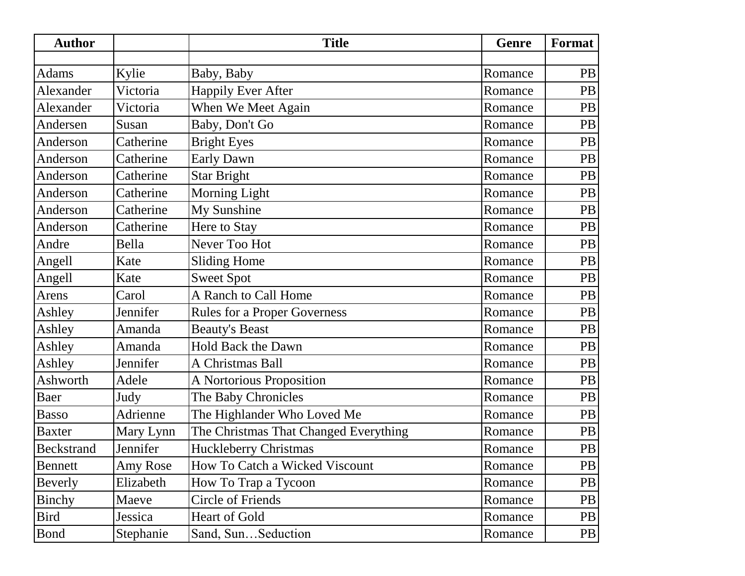| <b>Author</b>     |           | <b>Title</b>                          | Genre   | Format    |
|-------------------|-----------|---------------------------------------|---------|-----------|
|                   |           |                                       |         |           |
| <b>Adams</b>      | Kylie     | Baby, Baby                            | Romance | <b>PB</b> |
| Alexander         | Victoria  | <b>Happily Ever After</b>             | Romance | <b>PB</b> |
| Alexander         | Victoria  | When We Meet Again                    | Romance | <b>PB</b> |
| Andersen          | Susan     | Baby, Don't Go                        | Romance | PB        |
| Anderson          | Catherine | <b>Bright Eyes</b>                    | Romance | PB        |
| Anderson          | Catherine | Early Dawn                            | Romance | PB        |
| Anderson          | Catherine | <b>Star Bright</b>                    | Romance | PB        |
| Anderson          | Catherine | <b>Morning Light</b>                  | Romance | PB        |
| Anderson          | Catherine | My Sunshine                           | Romance | PB        |
| Anderson          | Catherine | Here to Stay                          | Romance | <b>PB</b> |
| Andre             | Bella     | Never Too Hot                         | Romance | <b>PB</b> |
| Angell            | Kate      | <b>Sliding Home</b>                   | Romance | <b>PB</b> |
| Angell            | Kate      | <b>Sweet Spot</b>                     | Romance | <b>PB</b> |
| Arens             | Carol     | A Ranch to Call Home                  | Romance | PB        |
| Ashley            | Jennifer  | <b>Rules for a Proper Governess</b>   | Romance | PB        |
| Ashley            | Amanda    | <b>Beauty's Beast</b>                 | Romance | PB        |
| Ashley            | Amanda    | <b>Hold Back the Dawn</b>             | Romance | PB        |
| Ashley            | Jennifer  | A Christmas Ball                      | Romance | <b>PB</b> |
| Ashworth          | Adele     | A Nortorious Proposition              | Romance | PB        |
| Baer              | Judy      | The Baby Chronicles                   | Romance | PB        |
| <b>Basso</b>      | Adrienne  | The Highlander Who Loved Me           | Romance | <b>PB</b> |
| <b>Baxter</b>     | Mary Lynn | The Christmas That Changed Everything | Romance | <b>PB</b> |
| <b>Beckstrand</b> | Jennifer  | <b>Huckleberry Christmas</b>          | Romance | PB        |
| Bennett           | Amy Rose  | How To Catch a Wicked Viscount        | Romance | PB        |
| Beverly           | Elizabeth | How To Trap a Tycoon                  | Romance | PB        |
| <b>Binchy</b>     | Maeve     | <b>Circle of Friends</b>              | Romance | <b>PB</b> |
| Bird              | Jessica   | Heart of Gold                         | Romance | PB        |
| <b>Bond</b>       | Stephanie | Sand, SunSeduction                    | Romance | PB        |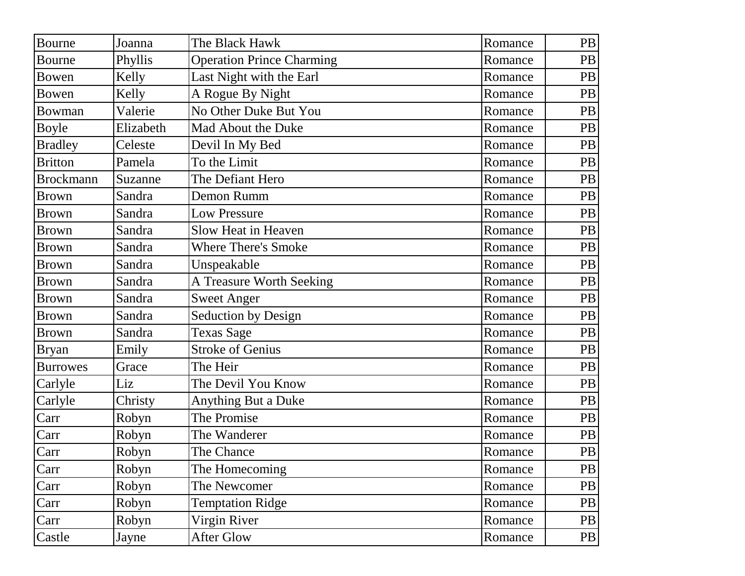| Bourne           | Joanna    | The Black Hawk                   | Romance | PB        |
|------------------|-----------|----------------------------------|---------|-----------|
| <b>Bourne</b>    | Phyllis   | <b>Operation Prince Charming</b> | Romance | PB        |
| Bowen            | Kelly     | Last Night with the Earl         | Romance | PB        |
| Bowen            | Kelly     | A Rogue By Night                 | Romance | PB        |
| <b>Bowman</b>    | Valerie   | No Other Duke But You            | Romance | PB        |
| <b>Boyle</b>     | Elizabeth | Mad About the Duke               | Romance | PB        |
| <b>Bradley</b>   | Celeste   | Devil In My Bed                  | Romance | PB        |
| <b>Britton</b>   | Pamela    | To the Limit                     | Romance | PB        |
| <b>Brockmann</b> | Suzanne   | The Defiant Hero                 | Romance | PB        |
| <b>Brown</b>     | Sandra    | Demon Rumm                       | Romance | PB        |
| <b>Brown</b>     | Sandra    | <b>Low Pressure</b>              | Romance | PB        |
| <b>Brown</b>     | Sandra    | Slow Heat in Heaven              | Romance | PB        |
| <b>Brown</b>     | Sandra    | <b>Where There's Smoke</b>       | Romance | PB        |
| <b>Brown</b>     | Sandra    | Unspeakable                      | Romance | PB        |
| <b>Brown</b>     | Sandra    | A Treasure Worth Seeking         | Romance | PB        |
| <b>Brown</b>     | Sandra    | <b>Sweet Anger</b>               | Romance | PB        |
| <b>Brown</b>     | Sandra    | <b>Seduction by Design</b>       | Romance | PB        |
| <b>Brown</b>     | Sandra    | <b>Texas Sage</b>                | Romance | PB        |
| <b>Bryan</b>     | Emily     | <b>Stroke of Genius</b>          | Romance | PB        |
| <b>Burrowes</b>  | Grace     | The Heir                         | Romance | PB        |
| Carlyle          | Liz       | The Devil You Know               | Romance | PB        |
| Carlyle          | Christy   | <b>Anything But a Duke</b>       | Romance | PB        |
| Carr             | Robyn     | The Promise                      | Romance | PB        |
| Carr             | Robyn     | The Wanderer                     | Romance | PB        |
| Carr             | Robyn     | The Chance                       | Romance | PB        |
| Carr             | Robyn     | The Homecoming                   | Romance | PB        |
| Carr             | Robyn     | The Newcomer                     | Romance | PB        |
| Carr             | Robyn     | <b>Temptation Ridge</b>          | Romance | <b>PB</b> |
| Carr             | Robyn     | Virgin River                     | Romance | PB        |
| Castle           | Jayne     | After Glow                       | Romance | PB        |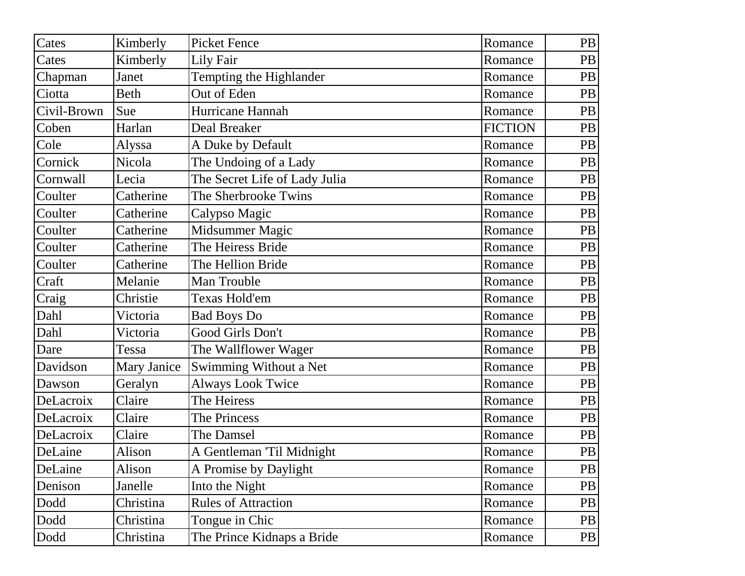| Cates       | Kimberly           | <b>Picket Fence</b>           | Romance        | PB        |
|-------------|--------------------|-------------------------------|----------------|-----------|
| Cates       | Kimberly           | Lily Fair                     | Romance        | <b>PB</b> |
| Chapman     | Janet              | Tempting the Highlander       | Romance        | PB        |
| Ciotta      | Beth               | Out of Eden                   | Romance        | PB        |
| Civil-Brown | Sue                | Hurricane Hannah              | Romance        | PB        |
| Coben       | Harlan             | Deal Breaker                  | <b>FICTION</b> | PB        |
| Cole        | Alyssa             | A Duke by Default             | Romance        | PB        |
| Cornick     | Nicola             | The Undoing of a Lady         | Romance        | PB        |
| Cornwall    | Lecia              | The Secret Life of Lady Julia | Romance        | PB        |
| Coulter     | Catherine          | The Sherbrooke Twins          | Romance        | PB        |
| Coulter     | Catherine          | Calypso Magic                 | Romance        | PB        |
| Coulter     | Catherine          | Midsummer Magic               | Romance        | PB        |
| Coulter     | Catherine          | The Heiress Bride             | Romance        | PB        |
| Coulter     | Catherine          | The Hellion Bride             | Romance        | <b>PB</b> |
| Craft       | Melanie            | Man Trouble                   | Romance        | PB        |
| Craig       | Christie           | Texas Hold'em                 | Romance        | PB        |
| Dahl        | Victoria           | <b>Bad Boys Do</b>            | Romance        | PB        |
| Dahl        | Victoria           | Good Girls Don't              | Romance        | PB        |
| Dare        | Tessa              | The Wallflower Wager          | Romance        | PB        |
| Davidson    | <b>Mary Janice</b> | Swimming Without a Net        | Romance        | PB        |
| Dawson      | Geralyn            | <b>Always Look Twice</b>      | Romance        | PB        |
| DeLacroix   | Claire             | The Heiress                   | Romance        | PB        |
| DeLacroix   | Claire             | The Princess                  | Romance        | PB        |
| DeLacroix   | Claire             | The Damsel                    | Romance        | PB        |
| DeLaine     | Alison             | A Gentleman 'Til Midnight     | Romance        | PB        |
| DeLaine     | Alison             | A Promise by Daylight         | Romance        | PB        |
| Denison     | Janelle            | Into the Night                | Romance        | PB        |
| Dodd        | Christina          | <b>Rules of Attraction</b>    | Romance        | <b>PB</b> |
| Dodd        | Christina          | Tongue in Chic                | Romance        | <b>PB</b> |
| Dodd        | Christina          | The Prince Kidnaps a Bride    | Romance        | PB        |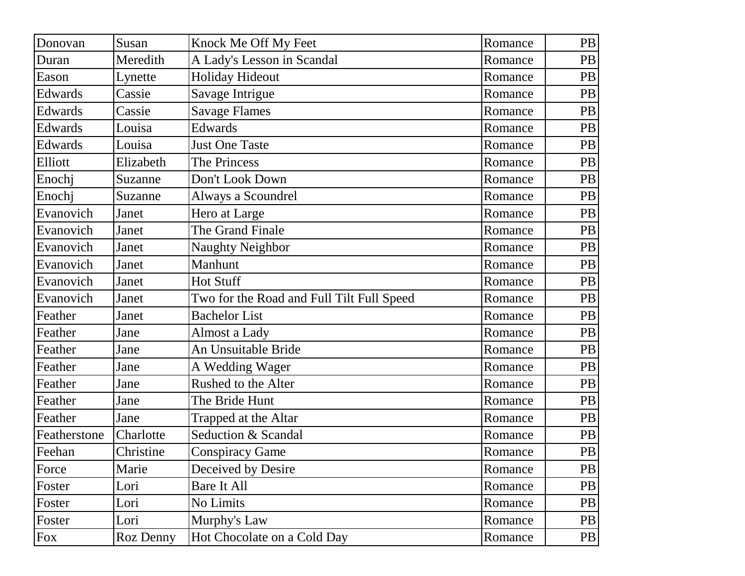| Donovan      | Susan     | Knock Me Off My Feet                      | Romance | <b>PB</b> |
|--------------|-----------|-------------------------------------------|---------|-----------|
| Duran        | Meredith  | A Lady's Lesson in Scandal                | Romance | <b>PB</b> |
| Eason        | Lynette   | <b>Holiday Hideout</b>                    | Romance | <b>PB</b> |
| Edwards      | Cassie    | Savage Intrigue                           | Romance | <b>PB</b> |
| Edwards      | Cassie    | <b>Savage Flames</b>                      | Romance | <b>PB</b> |
| Edwards      | Louisa    | <b>Edwards</b>                            | Romance | <b>PB</b> |
| Edwards      | Louisa    | <b>Just One Taste</b>                     | Romance | PB        |
| Elliott      | Elizabeth | The Princess                              | Romance | <b>PB</b> |
| Enochj       | Suzanne   | Don't Look Down                           | Romance | PB        |
| Enochj       | Suzanne   | Always a Scoundrel                        | Romance | <b>PB</b> |
| Evanovich    | Janet     | Hero at Large                             | Romance | PB        |
| Evanovich    | Janet     | The Grand Finale                          | Romance | <b>PB</b> |
| Evanovich    | Janet     | <b>Naughty Neighbor</b>                   | Romance | PB        |
| Evanovich    | Janet     | Manhunt                                   | Romance | <b>PB</b> |
| Evanovich    | Janet     | <b>Hot Stuff</b>                          | Romance | PB        |
| Evanovich    | Janet     | Two for the Road and Full Tilt Full Speed | Romance | <b>PB</b> |
| Feather      | Janet     | <b>Bachelor List</b>                      | Romance | PB        |
| Feather      | Jane      | Almost a Lady                             | Romance | <b>PB</b> |
| Feather      | Jane      | An Unsuitable Bride                       | Romance | <b>PB</b> |
| Feather      | Jane      | A Wedding Wager                           | Romance | <b>PB</b> |
| Feather      | Jane      | Rushed to the Alter                       | Romance | <b>PB</b> |
| Feather      | Jane      | The Bride Hunt                            | Romance | <b>PB</b> |
| Feather      | Jane      | Trapped at the Altar                      | Romance | <b>PB</b> |
| Featherstone | Charlotte | Seduction & Scandal                       | Romance | <b>PB</b> |
| Feehan       | Christine | <b>Conspiracy Game</b>                    | Romance | PB        |
| Force        | Marie     | Deceived by Desire                        | Romance | <b>PB</b> |
| Foster       | Lori      | Bare It All                               | Romance | PB        |
| Foster       | Lori      | No Limits                                 | Romance | PB        |
| Foster       | Lori      | Murphy's Law                              | Romance | PB        |
| Fox          | Roz Denny | Hot Chocolate on a Cold Day               | Romance | PB        |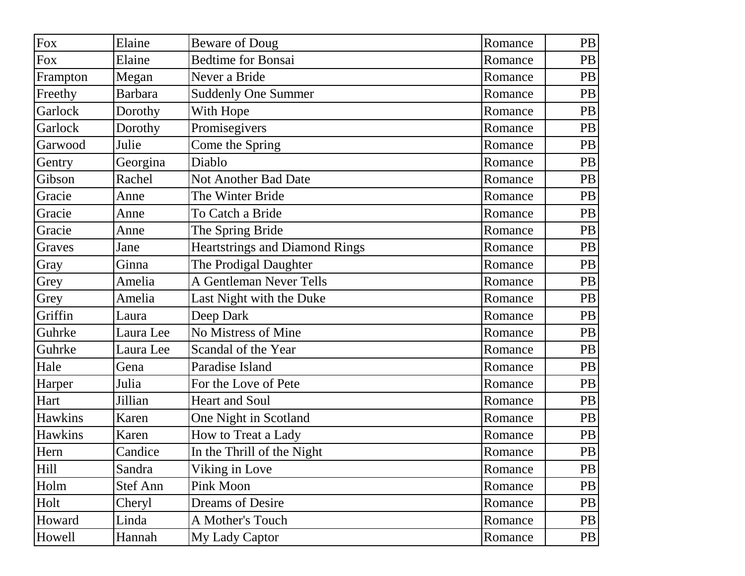| Fox        | Elaine          | <b>Beware of Doug</b>          | Romance | PB        |
|------------|-----------------|--------------------------------|---------|-----------|
| <b>Fox</b> | Elaine          | <b>Bedtime for Bonsai</b>      | Romance | <b>PB</b> |
| Frampton   | Megan           | Never a Bride                  | Romance | <b>PB</b> |
| Freethy    | <b>Barbara</b>  | <b>Suddenly One Summer</b>     | Romance | <b>PB</b> |
| Garlock    | Dorothy         | With Hope                      | Romance | <b>PB</b> |
| Garlock    | Dorothy         | Promisegivers                  | Romance | <b>PB</b> |
| Garwood    | Julie           | Come the Spring                | Romance | <b>PB</b> |
| Gentry     | Georgina        | Diablo                         | Romance | <b>PB</b> |
| Gibson     | Rachel          | Not Another Bad Date           | Romance | <b>PB</b> |
| Gracie     | Anne            | The Winter Bride               | Romance | <b>PB</b> |
| Gracie     | Anne            | To Catch a Bride               | Romance | PB        |
| Gracie     | Anne            | The Spring Bride               | Romance | <b>PB</b> |
| Graves     | Jane            | Heartstrings and Diamond Rings | Romance | PB        |
| Gray       | Ginna           | The Prodigal Daughter          | Romance | <b>PB</b> |
| Grey       | Amelia          | A Gentleman Never Tells        | Romance | PB        |
| Grey       | Amelia          | Last Night with the Duke       | Romance | <b>PB</b> |
| Griffin    | Laura           | Deep Dark                      | Romance | PB        |
| Guhrke     | Laura Lee       | No Mistress of Mine            | Romance | <b>PB</b> |
| Guhrke     | Laura Lee       | Scandal of the Year            | Romance | PB        |
| Hale       | Gena            | Paradise Island                | Romance | <b>PB</b> |
| Harper     | Julia           | For the Love of Pete           | Romance | <b>PB</b> |
| Hart       | Jillian         | <b>Heart and Soul</b>          | Romance | <b>PB</b> |
| Hawkins    | Karen           | One Night in Scotland          | Romance | <b>PB</b> |
| Hawkins    | Karen           | How to Treat a Lady            | Romance | PB        |
| Hern       | Candice         | In the Thrill of the Night     | Romance | PB        |
| Hill       | Sandra          | Viking in Love                 | Romance | PB        |
| Holm       | <b>Stef Ann</b> | Pink Moon                      | Romance | PB        |
| Holt       | Cheryl          | <b>Dreams of Desire</b>        | Romance | PB        |
| Howard     | Linda           | A Mother's Touch               | Romance | PB        |
| Howell     | Hannah          | My Lady Captor                 | Romance | PB        |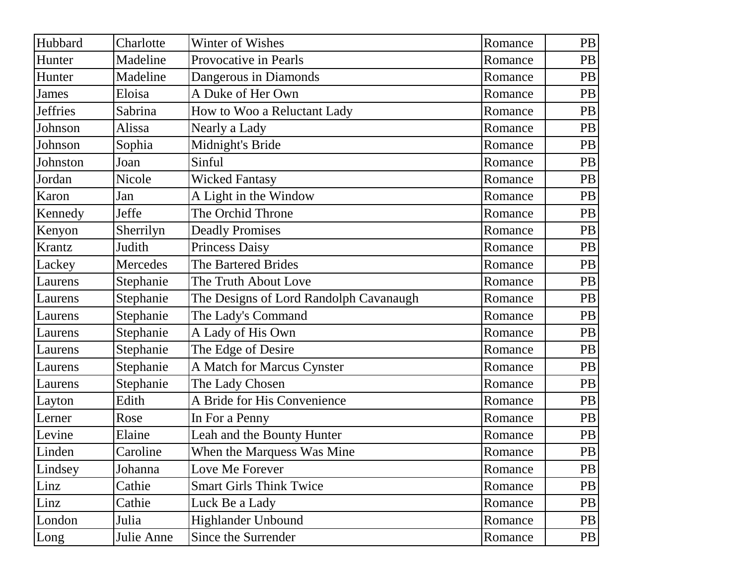| Hubbard         | Charlotte  | Winter of Wishes                       | Romance | PB        |
|-----------------|------------|----------------------------------------|---------|-----------|
| Hunter          | Madeline   | Provocative in Pearls                  | Romance | <b>PB</b> |
| Hunter          | Madeline   | Dangerous in Diamonds                  | Romance | <b>PB</b> |
| James           | Eloisa     | A Duke of Her Own                      | Romance | <b>PB</b> |
| <b>Jeffries</b> | Sabrina    | How to Woo a Reluctant Lady            | Romance | PB        |
| Johnson         | Alissa     | Nearly a Lady                          | Romance | <b>PB</b> |
| Johnson         | Sophia     | Midnight's Bride                       | Romance | PB        |
| Johnston        | Joan       | Sinful                                 | Romance | PB        |
| Jordan          | Nicole     | <b>Wicked Fantasy</b>                  | Romance | PB        |
| Karon           | Jan        | A Light in the Window                  | Romance | PB        |
| Kennedy         | Jeffe      | The Orchid Throne                      | Romance | PB        |
| Kenyon          | Sherrilyn  | <b>Deadly Promises</b>                 | Romance | PB        |
| Krantz          | Judith     | <b>Princess Daisy</b>                  | Romance | PB        |
| Lackey          | Mercedes   | The Bartered Brides                    | Romance | PB        |
| Laurens         | Stephanie  | The Truth About Love                   | Romance | PB        |
| Laurens         | Stephanie  | The Designs of Lord Randolph Cavanaugh | Romance | <b>PB</b> |
| Laurens         | Stephanie  | The Lady's Command                     | Romance | PB        |
| Laurens         | Stephanie  | A Lady of His Own                      | Romance | <b>PB</b> |
| Laurens         | Stephanie  | The Edge of Desire                     | Romance | <b>PB</b> |
| Laurens         | Stephanie  | A Match for Marcus Cynster             | Romance | <b>PB</b> |
| Laurens         | Stephanie  | The Lady Chosen                        | Romance | <b>PB</b> |
| Layton          | Edith      | A Bride for His Convenience            | Romance | <b>PB</b> |
| Lerner          | Rose       | In For a Penny                         | Romance | <b>PB</b> |
| Levine          | Elaine     | Leah and the Bounty Hunter             | Romance | PB        |
| Linden          | Caroline   | When the Marquess Was Mine             | Romance | PB        |
| Lindsey         | Johanna    | Love Me Forever                        | Romance | PB        |
| Linz            | Cathie     | <b>Smart Girls Think Twice</b>         | Romance | PB        |
| Linz            | Cathie     | Luck Be a Lady                         | Romance | PB        |
| London          | Julia      | <b>Highlander Unbound</b>              | Romance | <b>PB</b> |
| Long            | Julie Anne | Since the Surrender                    | Romance | PB        |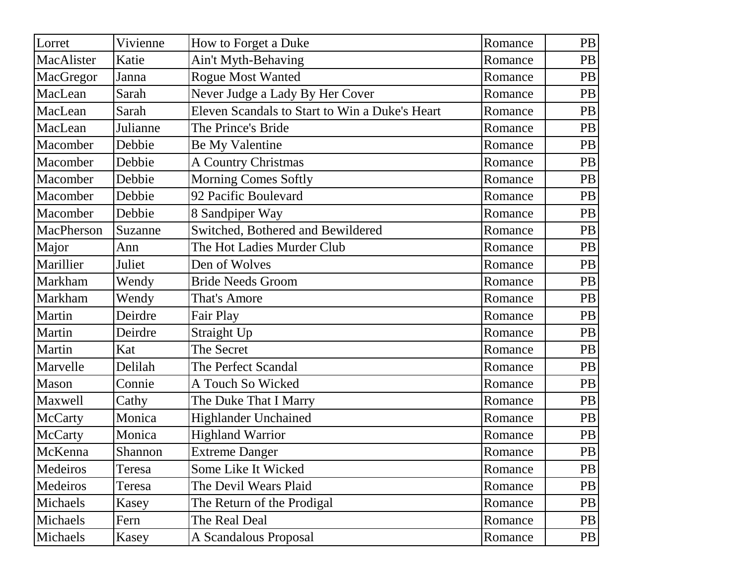| Lorret     | Vivienne | How to Forget a Duke                           | Romance | <b>PB</b> |
|------------|----------|------------------------------------------------|---------|-----------|
| MacAlister | Katie    | Ain't Myth-Behaving                            | Romance | <b>PB</b> |
| MacGregor  | Janna    | <b>Rogue Most Wanted</b>                       | Romance | <b>PB</b> |
| MacLean    | Sarah    | Never Judge a Lady By Her Cover                | Romance | <b>PB</b> |
| MacLean    | Sarah    | Eleven Scandals to Start to Win a Duke's Heart | Romance | <b>PB</b> |
| MacLean    | Julianne | The Prince's Bride                             | Romance | <b>PB</b> |
| Macomber   | Debbie   | <b>Be My Valentine</b>                         | Romance | PB        |
| Macomber   | Debbie   | <b>A Country Christmas</b>                     | Romance | <b>PB</b> |
| Macomber   | Debbie   | <b>Morning Comes Softly</b>                    | Romance | PB        |
| Macomber   | Debbie   | 92 Pacific Boulevard                           | Romance | <b>PB</b> |
| Macomber   | Debbie   | 8 Sandpiper Way                                | Romance | PB        |
| MacPherson | Suzanne  | Switched, Bothered and Bewildered              | Romance | <b>PB</b> |
| Major      | Ann      | The Hot Ladies Murder Club                     | Romance | <b>PB</b> |
| Marillier  | Juliet   | Den of Wolves                                  | Romance | <b>PB</b> |
| Markham    | Wendy    | <b>Bride Needs Groom</b>                       | Romance | <b>PB</b> |
| Markham    | Wendy    | That's Amore                                   | Romance | <b>PB</b> |
| Martin     | Deirdre  | Fair Play                                      | Romance | <b>PB</b> |
| Martin     | Deirdre  | Straight Up                                    | Romance | <b>PB</b> |
| Martin     | Kat      | The Secret                                     | Romance | <b>PB</b> |
| Marvelle   | Delilah  | The Perfect Scandal                            | Romance | <b>PB</b> |
| Mason      | Connie   | A Touch So Wicked                              | Romance | <b>PB</b> |
| Maxwell    | Cathy    | The Duke That I Marry                          | Romance | <b>PB</b> |
| McCarty    | Monica   | <b>Highlander Unchained</b>                    | Romance | <b>PB</b> |
| McCarty    | Monica   | <b>Highland Warrior</b>                        | Romance | <b>PB</b> |
| McKenna    | Shannon  | <b>Extreme Danger</b>                          | Romance | PB        |
| Medeiros   | Teresa   | Some Like It Wicked                            | Romance | <b>PB</b> |
| Medeiros   | Teresa   | The Devil Wears Plaid                          | Romance | <b>PB</b> |
| Michaels   | Kasey    | The Return of the Prodigal                     | Romance | <b>PB</b> |
| Michaels   | Fern     | The Real Deal                                  | Romance | <b>PB</b> |
| Michaels   | Kasey    | A Scandalous Proposal                          | Romance | PB        |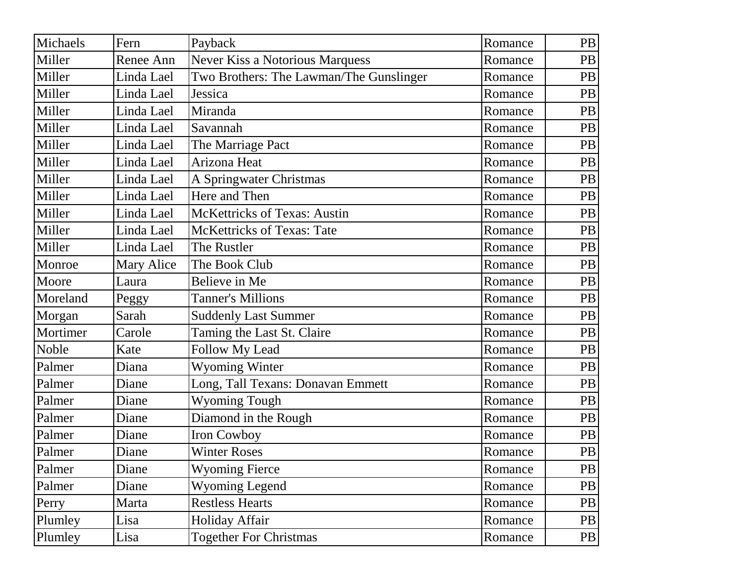| Michaels | Fern       | Payback                                 | Romance | PB        |
|----------|------------|-----------------------------------------|---------|-----------|
| Miller   | Renee Ann  | <b>Never Kiss a Notorious Marquess</b>  | Romance | PB        |
| Miller   | Linda Lael | Two Brothers: The Lawman/The Gunslinger | Romance | PB        |
| Miller   | Linda Lael | Jessica                                 | Romance | PB        |
| Miller   | Linda Lael | Miranda                                 | Romance | PB        |
| Miller   | Linda Lael | Savannah                                | Romance | PB        |
| Miller   | Linda Lael | The Marriage Pact                       | Romance | PB        |
| Miller   | Linda Lael | Arizona Heat                            | Romance | PB        |
| Miller   | Linda Lael | A Springwater Christmas                 | Romance | PB        |
| Miller   | Linda Lael | Here and Then                           | Romance | PB        |
| Miller   | Linda Lael | <b>McKettricks of Texas: Austin</b>     | Romance | PB        |
| Miller   | Linda Lael | <b>McKettricks of Texas: Tate</b>       | Romance | PB        |
| Miller   | Linda Lael | The Rustler                             | Romance | PB        |
| Monroe   | Mary Alice | The Book Club                           | Romance | PB        |
| Moore    | Laura      | Believe in Me                           | Romance | PB        |
| Moreland | Peggy      | <b>Tanner's Millions</b>                | Romance | PB        |
| Morgan   | Sarah      | <b>Suddenly Last Summer</b>             | Romance | PB        |
| Mortimer | Carole     | Taming the Last St. Claire              | Romance | PB        |
| Noble    | Kate       | <b>Follow My Lead</b>                   | Romance | PB        |
| Palmer   | Diana      | <b>Wyoming Winter</b>                   | Romance | PB        |
| Palmer   | Diane      | Long, Tall Texans: Donavan Emmett       | Romance | PB        |
| Palmer   | Diane      | <b>Wyoming Tough</b>                    | Romance | PB        |
| Palmer   | Diane      | Diamond in the Rough                    | Romance | PB        |
| Palmer   | Diane      | Iron Cowboy                             | Romance | PB        |
| Palmer   | Diane      | <b>Winter Roses</b>                     | Romance | PB        |
| Palmer   | Diane      | <b>Wyoming Fierce</b>                   | Romance | PB        |
| Palmer   | Diane      | <b>Wyoming Legend</b>                   | Romance | <b>PB</b> |
| Perry    | Marta      | <b>Restless Hearts</b>                  | Romance | PB        |
| Plumley  | Lisa       | Holiday Affair                          | Romance | PB        |
| Plumley  | Lisa       | <b>Together For Christmas</b>           | Romance | PB        |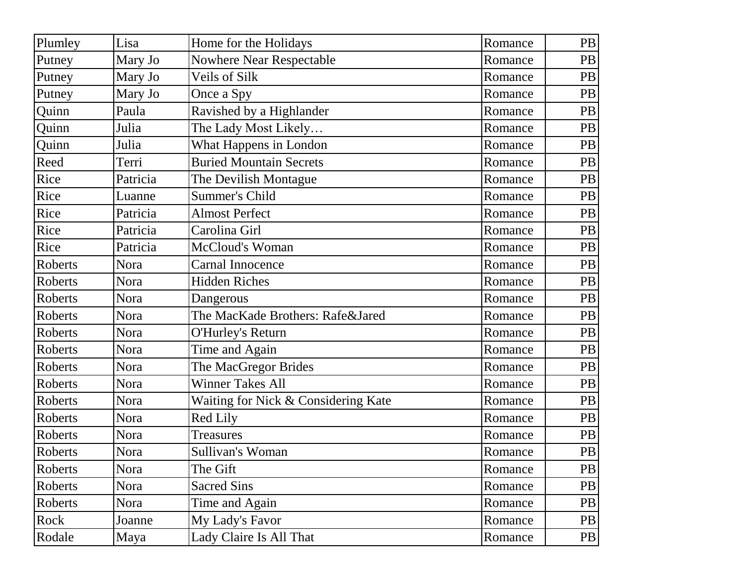| Plumley        | Lisa     | Home for the Holidays               | Romance | PB        |
|----------------|----------|-------------------------------------|---------|-----------|
| Putney         | Mary Jo  | <b>Nowhere Near Respectable</b>     | Romance | PB        |
| Putney         | Mary Jo  | Veils of Silk                       | Romance | PB        |
| Putney         | Mary Jo  | Once a Spy                          | Romance | <b>PB</b> |
| Quinn          | Paula    | Ravished by a Highlander            | Romance | PB        |
| Quinn          | Julia    | The Lady Most Likely                | Romance | PB        |
| Quinn          | Julia    | What Happens in London              | Romance | PB        |
| Reed           | Terri    | <b>Buried Mountain Secrets</b>      | Romance | PB        |
| Rice           | Patricia | The Devilish Montague               | Romance | PB        |
| Rice           | Luanne   | <b>Summer's Child</b>               | Romance | PB        |
| Rice           | Patricia | <b>Almost Perfect</b>               | Romance | PB        |
| Rice           | Patricia | Carolina Girl                       | Romance | PB        |
| Rice           | Patricia | McCloud's Woman                     | Romance | PB        |
| Roberts        | Nora     | Carnal Innocence                    | Romance | PB        |
| Roberts        | Nora     | <b>Hidden Riches</b>                | Romance | PB        |
| Roberts        | Nora     | Dangerous                           | Romance | PB        |
| <b>Roberts</b> | Nora     | The MacKade Brothers: Rafe&Jared    | Romance | PB        |
| Roberts        | Nora     | O'Hurley's Return                   | Romance | PB        |
| Roberts        | Nora     | Time and Again                      | Romance | PB        |
| Roberts        | Nora     | The MacGregor Brides                | Romance | PB        |
| Roberts        | Nora     | <b>Winner Takes All</b>             | Romance | PB        |
| Roberts        | Nora     | Waiting for Nick & Considering Kate | Romance | PB        |
| Roberts        | Nora     | <b>Red Lily</b>                     | Romance | PB        |
| Roberts        | Nora     | <b>Treasures</b>                    | Romance | PB        |
| Roberts        | Nora     | Sullivan's Woman                    | Romance | PB        |
| Roberts        | Nora     | The Gift                            | Romance | PB        |
| Roberts        | Nora     | <b>Sacred Sins</b>                  | Romance | PB        |
| Roberts        | Nora     | Time and Again                      | Romance | <b>PB</b> |
| Rock           | Joanne   | My Lady's Favor                     | Romance | <b>PB</b> |
| Rodale         | Maya     | Lady Claire Is All That             | Romance | PB        |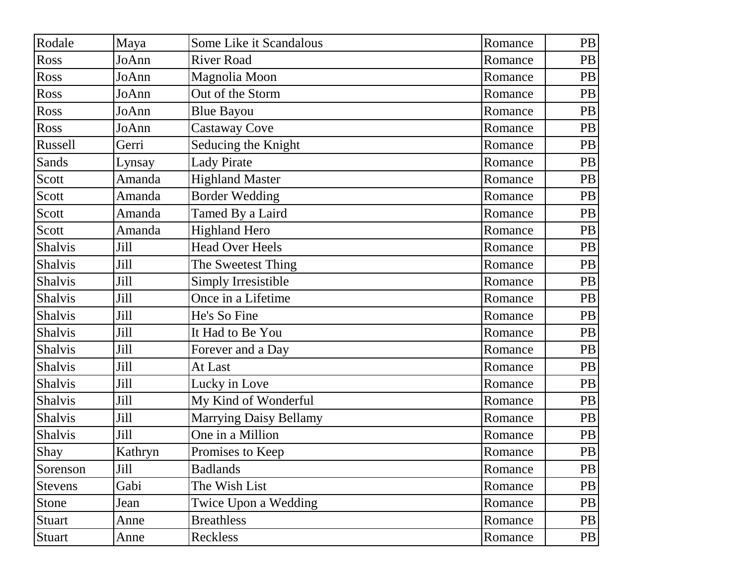| Rodale         | Maya    | Some Like it Scandalous | Romance | PB        |
|----------------|---------|-------------------------|---------|-----------|
| Ross           | JoAnn   | <b>River Road</b>       | Romance | PB        |
| Ross           | JoAnn   | Magnolia Moon           | Romance | PB        |
| Ross           | JoAnn   | Out of the Storm        | Romance | PB        |
| Ross           | JoAnn   | <b>Blue Bayou</b>       | Romance | PB        |
| Ross           | JoAnn   | <b>Castaway Cove</b>    | Romance | PB        |
| Russell        | Gerri   | Seducing the Knight     | Romance | PB        |
| Sands          | Lynsay  | <b>Lady Pirate</b>      | Romance | PB        |
| Scott          | Amanda  | <b>Highland Master</b>  | Romance | PB        |
| Scott          | Amanda  | <b>Border Wedding</b>   | Romance | PB        |
| Scott          | Amanda  | Tamed By a Laird        | Romance | PB        |
| Scott          | Amanda  | <b>Highland Hero</b>    | Romance | PB        |
| Shalvis        | Jill    | <b>Head Over Heels</b>  | Romance | PB        |
| Shalvis        | Jill    | The Sweetest Thing      | Romance | PB        |
| <b>Shalvis</b> | Jill    | Simply Irresistible     | Romance | PB        |
| Shalvis        | Jill    | Once in a Lifetime      | Romance | PB        |
| <b>Shalvis</b> | Jill    | He's So Fine            | Romance | PB        |
| <b>Shalvis</b> | Jill    | It Had to Be You        | Romance | PB        |
| <b>Shalvis</b> | Jill    | Forever and a Day       | Romance | PB        |
| Shalvis        | Jill    | At Last                 | Romance | <b>PB</b> |
| Shalvis        | Jill    | Lucky in Love           | Romance | PB        |
| <b>Shalvis</b> | Jill    | My Kind of Wonderful    | Romance | PB        |
| <b>Shalvis</b> | Jill    | Marrying Daisy Bellamy  | Romance | PB        |
| Shalvis        | Jill    | One in a Million        | Romance | PB        |
| Shay           | Kathryn | Promises to Keep        | Romance | PB        |
| Sorenson       | Jill    | <b>Badlands</b>         | Romance | PB        |
| <b>Stevens</b> | Gabi    | The Wish List           | Romance | PB        |
| Stone          | Jean    | Twice Upon a Wedding    | Romance | PB        |
| <b>Stuart</b>  | Anne    | <b>Breathless</b>       | Romance | PB        |
| Stuart         | Anne    | <b>Reckless</b>         | Romance | PB        |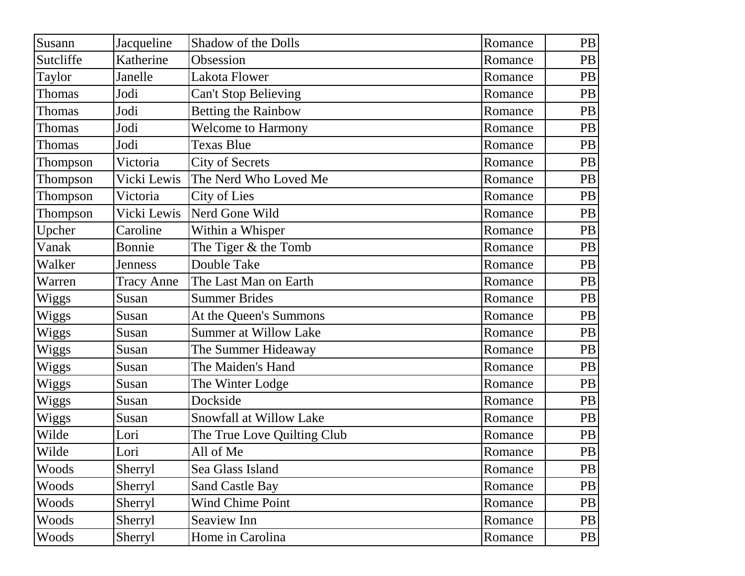| Susann       | Jacqueline        | Shadow of the Dolls          | Romance | PB        |
|--------------|-------------------|------------------------------|---------|-----------|
| Sutcliffe    | Katherine         | Obsession                    | Romance | PB        |
| Taylor       | Janelle           | Lakota Flower                | Romance | PB        |
| Thomas       | Jodi              | <b>Can't Stop Believing</b>  | Romance | PB        |
| Thomas       | Jodi              | <b>Betting the Rainbow</b>   | Romance | PB        |
| Thomas       | Jodi              | <b>Welcome to Harmony</b>    | Romance | <b>PB</b> |
| Thomas       | Jodi              | Texas Blue                   | Romance | PB        |
| Thompson     | Victoria          | City of Secrets              | Romance | PB        |
| Thompson     | Vicki Lewis       | The Nerd Who Loved Me        | Romance | PB        |
| Thompson     | Victoria          | <b>City of Lies</b>          | Romance | PB        |
| Thompson     | Vicki Lewis       | Nerd Gone Wild               | Romance | PB        |
| Upcher       | Caroline          | Within a Whisper             | Romance | PB        |
| Vanak        | Bonnie            | The Tiger & the Tomb         | Romance | PB        |
| Walker       | Jenness           | Double Take                  | Romance | PB        |
| Warren       | <b>Tracy Anne</b> | The Last Man on Earth        | Romance | PB        |
| <b>Wiggs</b> | Susan             | <b>Summer Brides</b>         | Romance | PB        |
| Wiggs        | Susan             | At the Queen's Summons       | Romance | PB        |
| Wiggs        | Susan             | <b>Summer at Willow Lake</b> | Romance | <b>PB</b> |
| Wiggs        | Susan             | The Summer Hideaway          | Romance | PB        |
| Wiggs        | Susan             | The Maiden's Hand            | Romance | PB        |
| Wiggs        | Susan             | The Winter Lodge             | Romance | PB        |
| Wiggs        | Susan             | Dockside                     | Romance | PB        |
| Wiggs        | Susan             | Snowfall at Willow Lake      | Romance | PB        |
| Wilde        | Lori              | The True Love Quilting Club  | Romance | PB        |
| Wilde        | Lori              | All of Me                    | Romance | PB        |
| Woods        | Sherryl           | Sea Glass Island             | Romance | PB        |
| Woods        | Sherryl           | <b>Sand Castle Bay</b>       | Romance | PB        |
| Woods        | Sherryl           | <b>Wind Chime Point</b>      | Romance | <b>PB</b> |
| Woods        | Sherryl           | Seaview Inn                  | Romance | PB        |
| Woods        | Sherryl           | Home in Carolina             | Romance | PB        |